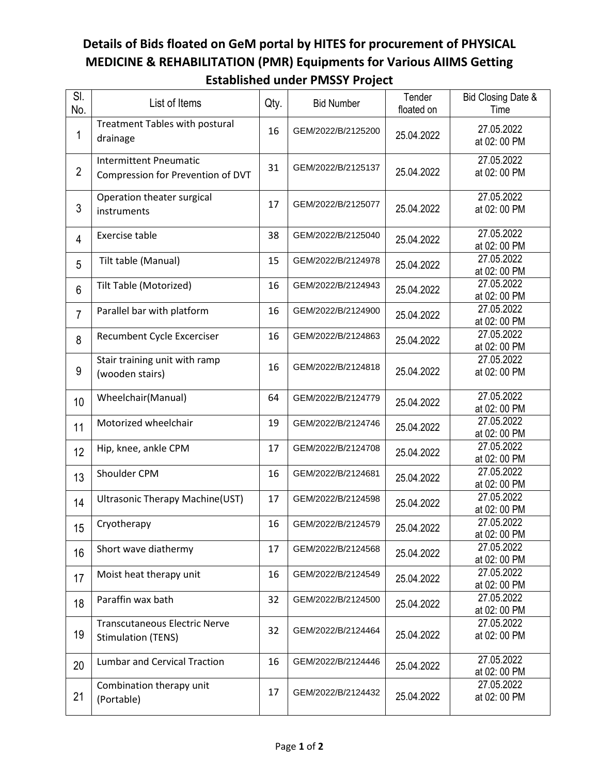## **Details of Bids floated on GeM portal by HITES for procurement of PHYSICAL MEDICINE & REHABILITATION (PMR) Equipments for Various AIIMS Getting Established under PMSSY Project**

| SI.<br>No.     | List of Items                                                      | Qty. | <b>Bid Number</b>  | Tender<br>floated on | Bid Closing Date &<br>Time |
|----------------|--------------------------------------------------------------------|------|--------------------|----------------------|----------------------------|
| 1              | Treatment Tables with postural<br>drainage                         | 16   | GEM/2022/B/2125200 | 25.04.2022           | 27.05.2022<br>at 02: 00 PM |
| $\overline{2}$ | <b>Intermittent Pneumatic</b><br>Compression for Prevention of DVT | 31   | GEM/2022/B/2125137 | 25.04.2022           | 27.05.2022<br>at 02: 00 PM |
| 3              | Operation theater surgical<br>instruments                          | 17   | GEM/2022/B/2125077 | 25.04.2022           | 27.05.2022<br>at 02: 00 PM |
| 4              | Exercise table                                                     | 38   | GEM/2022/B/2125040 | 25.04.2022           | 27.05.2022<br>at 02: 00 PM |
| 5              | Tilt table (Manual)                                                | 15   | GEM/2022/B/2124978 | 25.04.2022           | 27.05.2022<br>at 02: 00 PM |
| 6              | Tilt Table (Motorized)                                             | 16   | GEM/2022/B/2124943 | 25.04.2022           | 27.05.2022<br>at 02: 00 PM |
| $\overline{7}$ | Parallel bar with platform                                         | 16   | GEM/2022/B/2124900 | 25.04.2022           | 27.05.2022<br>at 02: 00 PM |
| 8              | Recumbent Cycle Excerciser                                         | 16   | GEM/2022/B/2124863 | 25.04.2022           | 27.05.2022<br>at 02: 00 PM |
| 9              | Stair training unit with ramp<br>(wooden stairs)                   | 16   | GEM/2022/B/2124818 | 25.04.2022           | 27.05.2022<br>at 02: 00 PM |
| 10             | Wheelchair(Manual)                                                 | 64   | GEM/2022/B/2124779 | 25.04.2022           | 27.05.2022<br>at 02: 00 PM |
| 11             | Motorized wheelchair                                               | 19   | GEM/2022/B/2124746 | 25.04.2022           | 27.05.2022<br>at 02: 00 PM |
| 12             | Hip, knee, ankle CPM                                               | 17   | GEM/2022/B/2124708 | 25.04.2022           | 27.05.2022<br>at 02: 00 PM |
| 13             | Shoulder CPM                                                       | 16   | GEM/2022/B/2124681 | 25.04.2022           | 27.05.2022<br>at 02: 00 PM |
| 14             | Ultrasonic Therapy Machine(UST)                                    | 17   | GEM/2022/B/2124598 | 25.04.2022           | 27.05.2022<br>at 02: 00 PM |
| 15             | Cryotherapy                                                        | 16   | GEM/2022/B/2124579 | 25.04.2022           | 27.05.2022<br>at 02: 00 PM |
| 16             | Short wave diathermy                                               | 17   | GEM/2022/B/2124568 | 25.04.2022           | 27.05.2022<br>at 02: 00 PM |
| 17             | Moist heat therapy unit                                            | 16   | GEM/2022/B/2124549 | 25.04.2022           | 27.05.2022<br>at 02: 00 PM |
| 18             | Paraffin wax bath                                                  | 32   | GEM/2022/B/2124500 | 25.04.2022           | 27.05.2022<br>at 02: 00 PM |
| 19             | <b>Transcutaneous Electric Nerve</b><br><b>Stimulation (TENS)</b>  | 32   | GEM/2022/B/2124464 | 25.04.2022           | 27.05.2022<br>at 02: 00 PM |
| 20             | <b>Lumbar and Cervical Traction</b>                                | 16   | GEM/2022/B/2124446 | 25.04.2022           | 27.05.2022<br>at 02: 00 PM |
| 21             | Combination therapy unit<br>(Portable)                             | 17   | GEM/2022/B/2124432 | 25.04.2022           | 27.05.2022<br>at 02: 00 PM |